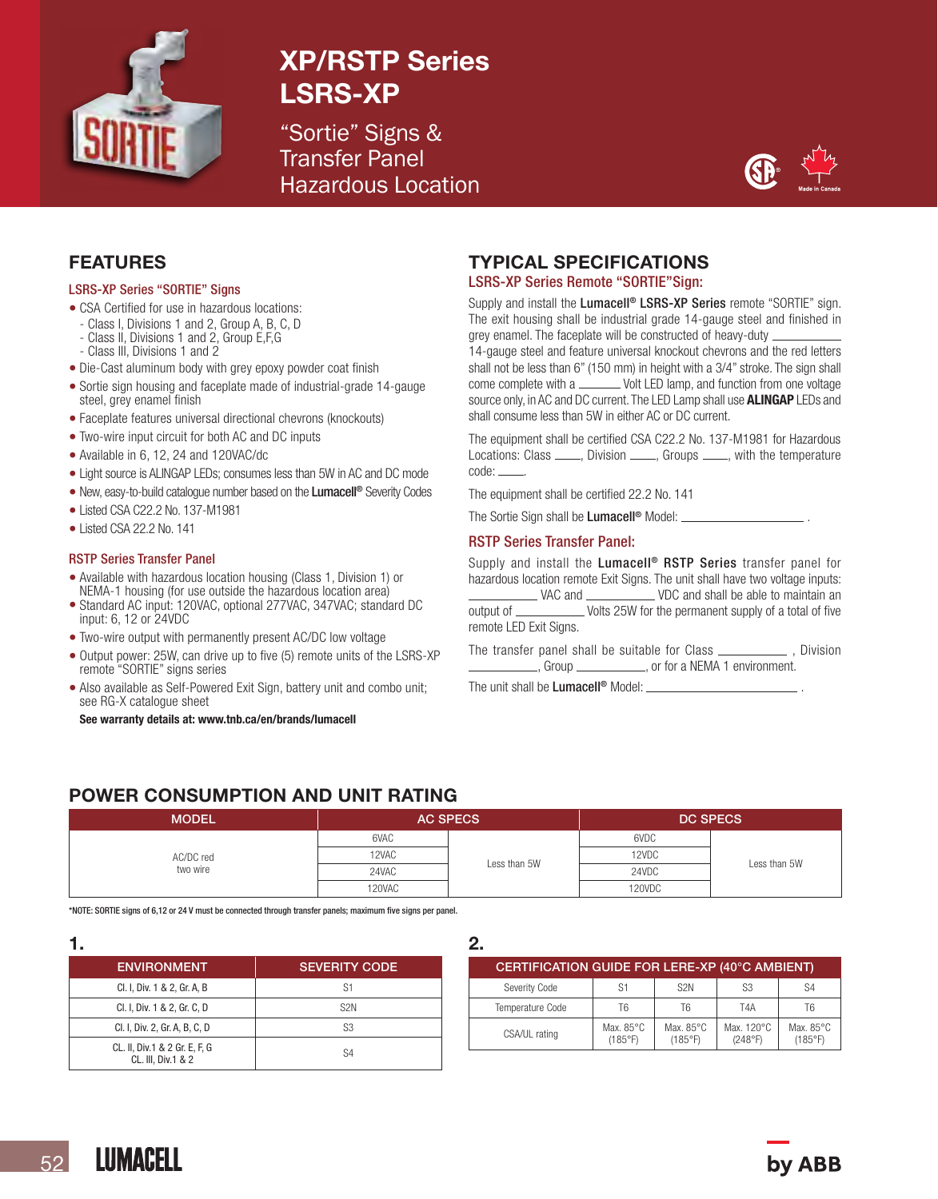

# XP/RSTP Series LSRS-XP

"Sortie" Signs & Transfer Panel Hazardous Location



## FEATURES

#### LSRS-XP Series "SORTIE" Signs

- CSA Certified for use in hazardous locations:
	- Class I, Divisions 1 and 2, Group A, B, C, D
- Class II, Divisions 1 and 2, Group E,F,G
- Class III, Divisions 1 and 2
- Die-Cast aluminum body with grey epoxy powder coat finish
- Sortie sign housing and faceplate made of industrial-grade 14-gauge steel, grey enamel finish
- Faceplate features universal directional chevrons (knockouts)
- Two-wire input circuit for both AC and DC inputs
- Available in 6, 12, 24 and 120VAC/dc
- Light source is ALINGAP LEDs; consumes less than 5W in AC and DC mode
- New, easy-to-build catalogue number based on the Lumacell<sup>®</sup> Severity Codes
- Listed CSA C22.2 No. 137-M1981
- Listed CSA 22.2 No. 141

#### RSTP Series Transfer Panel

- Available with hazardous location housing (Class 1, Division 1) or NEMA-1 housing (for use outside the hazardous location area)
- Standard AC input: 120VAC, optional 277VAC, 347VAC; standard DC input: 6, 12 or 24VDC
- Two-wire output with permanently present AC/DC low voltage
- Output power: 25W, can drive up to five (5) remote units of the LSRS-XP remote "SORTIE" signs series
- Also available as Self-Powered Exit Sign, battery unit and combo unit; see RG-X catalogue sheet

See warranty details at: www.tnb.ca/en/brands/lumacell

## TYPICAL SPECIFICATIONS

### LSRS-XP Series Remote "SORTIE"Sign:

Supply and install the Lumacell<sup>®</sup> LSRS-XP Series remote "SORTIE" sign. The exit housing shall be industrial grade 14-gauge steel and finished in grey enamel. The faceplate will be constructed of heavy-duty

14-gauge steel and feature universal knockout chevrons and the red letters shall not be less than 6" (150 mm) in height with a 3/4" stroke. The sign shall come complete with a \_\_\_\_\_\_\_\_ Volt LED lamp, and function from one voltage source only, in AC and DC current. The LED Lamp shall use **ALINGAP** LEDs and shall consume less than 5W in either AC or DC current.

The equipment shall be certified CSA C22.2 No. 137-M1981 for Hazardous Locations: Class \_\_\_\_, Division \_\_\_\_, Groups \_\_\_\_, with the temperature code:

The equipment shall be certified 22.2 No. 141

The Sortie Sign shall be Lumacell<sup>®</sup> Model: ....

### RSTP Series Transfer Panel:

Supply and install the Lumacell<sup>®</sup> RSTP Series transfer panel for hazardous location remote Exit Signs. The unit shall have two voltage inputs:

 VAC and VDC and shall be able to maintain an output of \_\_\_\_\_\_\_\_\_\_\_\_\_\_\_ Volts 25W for the permanent supply of a total of five remote LED Exit Signs.

The transfer panel shall be suitable for Class \_\_\_\_\_\_\_\_\_\_\_\_, Division , Group \_\_\_\_\_\_\_\_\_\_\_, or for a NEMA 1 environment.

The unit shall be **Lumacell<sup>®</sup>** Model: \_

## POWER CONSUMPTION AND UNIT RATING

| <b>MODEL</b>          | <b>AC SPECS</b> |              | <b>DC SPECS</b> |              |
|-----------------------|-----------------|--------------|-----------------|--------------|
| AC/DC red<br>two wire | 6VAC            | Less than 5W | 6VDC            | Less than 5W |
|                       | 12VAC           |              | 12VDC           |              |
|                       | 24VAC           |              | 24VDC           |              |
|                       | 120VAC          |              | 120VDC          |              |

\*NOTE: SORTIE signs of 6,12 or 24 V must be connected through transfer panels; maximum five signs per panel.

| <b>ENVIRONMENT</b>                                  | <b>SEVERITY CODE</b> |  |  |  |
|-----------------------------------------------------|----------------------|--|--|--|
| Cl. I, Div. 1 & 2, Gr. A, B                         | S1                   |  |  |  |
| Cl. I, Div. 1 & 2, Gr. C, D                         | S <sub>2N</sub>      |  |  |  |
| Cl. I, Div. 2, Gr. A, B, C, D                       | S3                   |  |  |  |
| CL. II, Div.1 & 2 Gr. E, F, G<br>CL. III. Div.1 & 2 | S4                   |  |  |  |

2.

| CERTIFICATION GUIDE FOR LERE-XP (40°C AMBIENT) |                                |                      |                       |                                |  |
|------------------------------------------------|--------------------------------|----------------------|-----------------------|--------------------------------|--|
| Severity Code                                  | S1                             | S <sub>2</sub> N     | S <sub>3</sub>        | S4                             |  |
| Temperature Code                               | Т6                             | T6                   | T4A                   | T6                             |  |
| CSA/UL rating                                  | Max. $85^{\circ}$ C<br>(185°F) | Max. 85°C<br>(185°F) | Max. 120°C<br>(248°F) | Max. $85^{\circ}$ C<br>(185°F) |  |